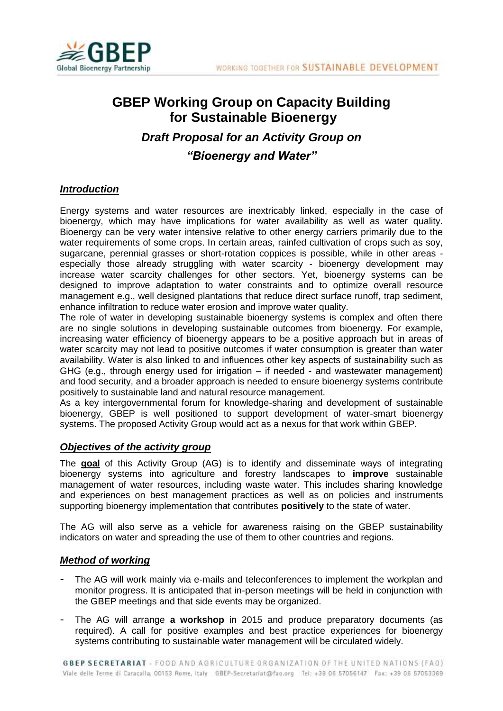

# **GBEP Working Group on Capacity Building for Sustainable Bioenergy** *Draft Proposal for an Activity Group on "Bioenergy and Water"*

## *Introduction*

Energy systems and water resources are inextricably linked, especially in the case of bioenergy, which may have implications for water availability as well as water quality. Bioenergy can be very water intensive relative to other energy carriers primarily due to the water requirements of some crops. In certain areas, rainfed cultivation of crops such as soy, sugarcane, perennial grasses or short-rotation coppices is possible, while in other areas especially those already struggling with water scarcity - bioenergy development may increase water scarcity challenges for other sectors. Yet, bioenergy systems can be designed to improve adaptation to water constraints and to optimize overall resource management e.g., well designed plantations that reduce direct surface runoff, trap sediment, enhance infiltration to reduce water erosion and improve water quality.

The role of water in developing sustainable bioenergy systems is complex and often there are no single solutions in developing sustainable outcomes from bioenergy. For example, increasing water efficiency of bioenergy appears to be a positive approach but in areas of water scarcity may not lead to positive outcomes if water consumption is greater than water availability. Water is also linked to and influences other key aspects of sustainability such as GHG (e.g., through energy used for irrigation – if needed - and wastewater management) and food security, and a broader approach is needed to ensure bioenergy systems contribute positively to sustainable land and natural resource management.

As a key intergovernmental forum for knowledge-sharing and development of sustainable bioenergy, GBEP is well positioned to support development of water-smart bioenergy systems. The proposed Activity Group would act as a nexus for that work within GBEP.

## *Objectives of the activity group*

The **goal** of this Activity Group (AG) is to identify and disseminate ways of integrating bioenergy systems into agriculture and forestry landscapes to **improve** sustainable management of water resources, including waste water. This includes sharing knowledge and experiences on best management practices as well as on policies and instruments supporting bioenergy implementation that contributes **positively** to the state of water.

The AG will also serve as a vehicle for awareness raising on the GBEP sustainability indicators on water and spreading the use of them to other countries and regions.

### *Method of working*

- The AG will work mainly via e-mails and teleconferences to implement the workplan and monitor progress. It is anticipated that in-person meetings will be held in conjunction with the GBEP meetings and that side events may be organized.
- The AG will arrange **a workshop** in 2015 and produce preparatory documents (as required). A call for positive examples and best practice experiences for bioenergy systems contributing to sustainable water management will be circulated widely.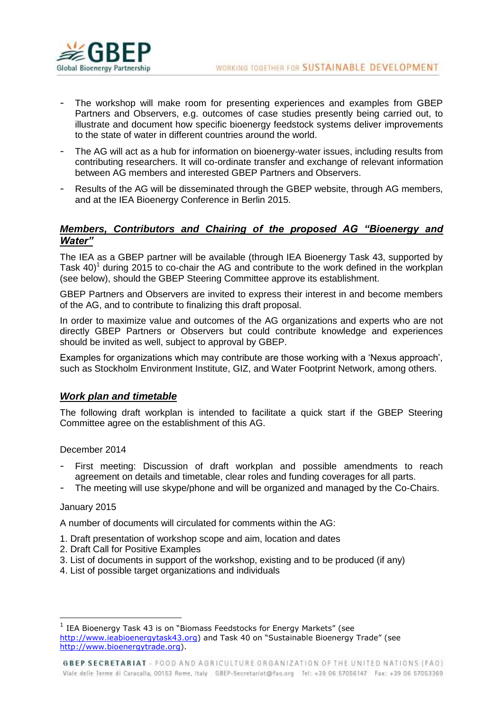

- The workshop will make room for presenting experiences and examples from GBEP Partners and Observers, e.g. outcomes of case studies presently being carried out, to illustrate and document how specific bioenergy feedstock systems deliver improvements to the state of water in different countries around the world.
- The AG will act as a hub for information on bioenergy-water issues, including results from contributing researchers. It will co-ordinate transfer and exchange of relevant information between AG members and interested GBEP Partners and Observers.
- Results of the AG will be disseminated through the GBEP website, through AG members, and at the IEA Bioenergy Conference in Berlin 2015.

## *Members, Contributors and Chairing of the proposed AG "Bioenergy and Water"*

The IEA as a GBEP partner will be available (through IEA Bioenergy Task 43, supported by Task 40)<sup>1</sup> during 2015 to co-chair the AG and contribute to the work defined in the workplan (see below), should the GBEP Steering Committee approve its establishment.

GBEP Partners and Observers are invited to express their interest in and become members of the AG, and to contribute to finalizing this draft proposal.

In order to maximize value and outcomes of the AG organizations and experts who are not directly GBEP Partners or Observers but could contribute knowledge and experiences should be invited as well, subject to approval by GBEP.

Examples for organizations which may contribute are those working with a 'Nexus approach', such as Stockholm Environment Institute, GIZ, and Water Footprint Network, among others.

### *Work plan and timetable*

The following draft workplan is intended to facilitate a quick start if the GBEP Steering Committee agree on the establishment of this AG.

December 2014

- First meeting: Discussion of draft workplan and possible amendments to reach agreement on details and timetable, clear roles and funding coverages for all parts.
- The meeting will use skype/phone and will be organized and managed by the Co-Chairs.

#### January 2015

 $\overline{a}$ 

A number of documents will circulated for comments within the AG:

- 1. Draft presentation of workshop scope and aim, location and dates
- 2. Draft Call for Positive Examples
- 3. List of documents in support of the workshop, existing and to be produced (if any)
- 4. List of possible target organizations and individuals

<sup>1</sup> IEA Bioenergy Task 43 is on "Biomass Feedstocks for Energy Markets" (see [http://www.ieabioenergytask43.org\)](http://www.ieabioenergytask43.org/) and Task 40 on "Sustainable Bioenergy Trade" (see [http://www.bioenergytrade.org\)](http://www.bioenergytrade.org/).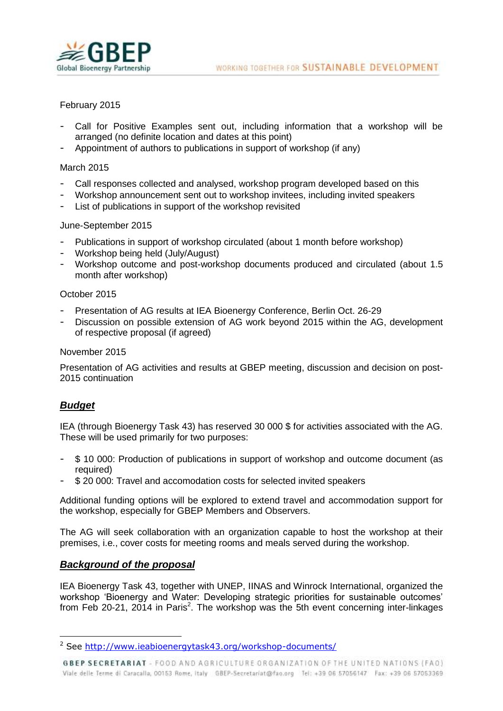

## February 2015

- Call for Positive Examples sent out, including information that a workshop will be arranged (no definite location and dates at this point)
- Appointment of authors to publications in support of workshop (if any)

### March 2015

- Call responses collected and analysed, workshop program developed based on this
- Workshop announcement sent out to workshop invitees, including invited speakers
- List of publications in support of the workshop revisited

## June-September 2015

- Publications in support of workshop circulated (about 1 month before workshop)
- Workshop being held (July/August)
- Workshop outcome and post-workshop documents produced and circulated (about 1.5 month after workshop)

### October 2015

- Presentation of AG results at IEA Bioenergy Conference, Berlin Oct. 26-29
- Discussion on possible extension of AG work beyond 2015 within the AG, development of respective proposal (if agreed)

### November 2015

Presentation of AG activities and results at GBEP meeting, discussion and decision on post-2015 continuation

# *Budget*

 $\overline{a}$ 

IEA (through Bioenergy Task 43) has reserved 30 000 \$ for activities associated with the AG. These will be used primarily for two purposes:

- \$ 10 000: Production of publications in support of workshop and outcome document (as required)
- \$ 20 000: Travel and accomodation costs for selected invited speakers

Additional funding options will be explored to extend travel and accommodation support for the workshop, especially for GBEP Members and Observers.

The AG will seek collaboration with an organization capable to host the workshop at their premises, i.e., cover costs for meeting rooms and meals served during the workshop.

## *Background of the proposal*

IEA Bioenergy Task 43, together with UNEP, IINAS and Winrock International, organized the workshop 'Bioenergy and Water: Developing strategic priorities for sustainable outcomes' from Feb 20-21, 2014 in Paris<sup>2</sup>. The workshop was the 5th event concerning inter-linkages

<sup>&</sup>lt;sup>2</sup> See<http://www.ieabioenergytask43.org/workshop-documents/>